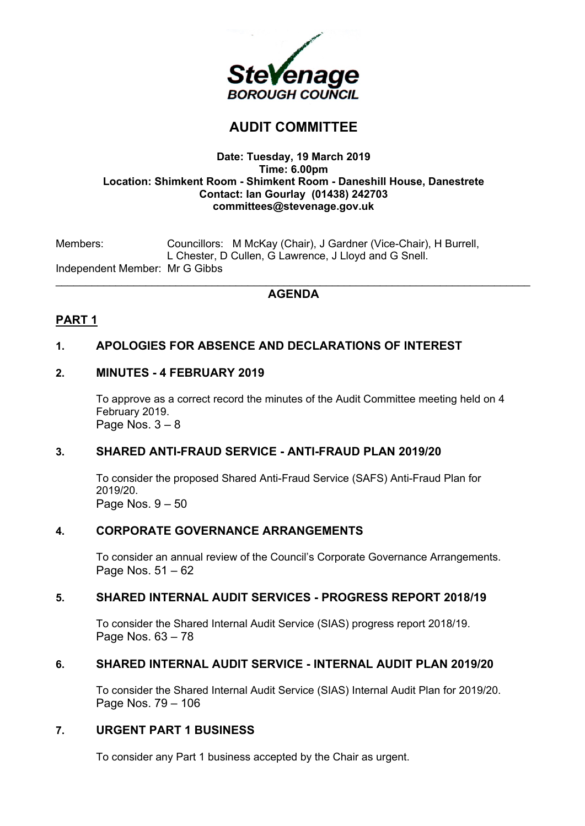

# **AUDIT COMMITTEE**

#### **Date: Tuesday, 19 March 2019 Time: 6.00pm Location: Shimkent Room - Shimkent Room - Daneshill House, Danestrete Contact: Ian Gourlay (01438) 242703 committees@stevenage.gov.uk**

Members: Councillors: M McKay (Chair), J Gardner (Vice-Chair), H Burrell, L Chester, D Cullen, G Lawrence, J Lloyd and G Snell. Independent Member: Mr G Gibbs \_\_\_\_\_\_\_\_\_\_\_\_\_\_\_\_\_\_\_\_\_\_\_\_\_\_\_\_\_\_\_\_\_\_\_\_\_\_\_\_\_\_\_\_\_\_\_\_\_\_\_\_\_\_\_\_\_\_\_\_\_\_\_\_\_\_\_\_\_\_\_\_\_\_\_\_\_\_\_

## **AGENDA**

# **PART 1**

## **1. APOLOGIES FOR ABSENCE AND DECLARATIONS OF INTEREST**

## **2. MINUTES - 4 FEBRUARY 2019**

To approve as a correct record the minutes of the Audit Committee meeting held on 4 February 2019. Page Nos.  $3 - 8$ 

## **3. SHARED ANTI-FRAUD SERVICE - ANTI-FRAUD PLAN 2019/20**

To consider the proposed Shared Anti-Fraud Service (SAFS) Anti-Fraud Plan for 2019/20. Page Nos.  $9 - 50$ 

#### **4. CORPORATE GOVERNANCE ARRANGEMENTS**

To consider an annual review of the Council's Corporate Governance Arrangements. Page Nos. 51 – 62

### **5. SHARED INTERNAL AUDIT SERVICES - PROGRESS REPORT 2018/19**

To consider the Shared Internal Audit Service (SIAS) progress report 2018/19. Page Nos. 63 – 78

## **6. SHARED INTERNAL AUDIT SERVICE - INTERNAL AUDIT PLAN 2019/20**

To consider the Shared Internal Audit Service (SIAS) Internal Audit Plan for 2019/20. Page Nos. 79 – 106

#### **7. URGENT PART 1 BUSINESS**

To consider any Part 1 business accepted by the Chair as urgent.